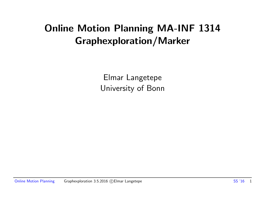# Online Motion Planning MA-INF 1314 Graphexploration/Marker

Elmar Langetepe University of Bonn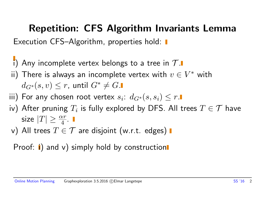## Repetition: CFS Algorithm Invariants Lemma

Execution CFS–Algorithm, properties hold:  $\blacksquare$ 

- i) Any incomplete vertex belongs to a tree in  $\mathcal{T}$ .
- ii) There is always an incomplete vertex with  $v\in V^*$  with  $d_{G^*}(s, v) \leq r$ , until  $G^* \neq G$ .
- iii) For any chosen root vertex  $s_i\colon\thinspace d_{G^*}(s,s_i)\leq r.$
- iv) After pruning  $T_i$  is fully explored by DFS. All trees  $T\in\mathcal{T}$  have size  $|T| \geq \frac{\alpha r}{4}$ .
- v) All trees  $T \in \mathcal{T}$  are disjoint (w.r.t. edges)  $\blacksquare$
- Proof:  $\mathbf{i}$ ) and v) simply hold by construction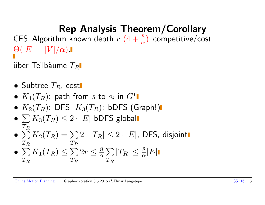# Rep Analysis Theorem/Corollary

CFS–Algorithm known depth  $r$   $(4 + \frac{8}{\alpha})$ –competitive/cost  $\Theta(|E|+|V|/\alpha)$  .

über Teilbäume  $T_R$ 

- Subtree  $T_R$ , cost
- $K_1(T_R)$ : path from s to  $s_i$  in  $G^*$
- $K_2(T_R)$ : DFS,  $K_3(T_R)$ : bDFS (Graph!)
- $\bullet\, \sum K_3(T_R) \leq 2\cdot |E|$  bDFS global  $T_R$
- $\bullet$   $\sum$  $T_R$  $K_2(T_R)=\sum$  $T_R$  $2 \cdot |T_R| \leq 2 \cdot |E|$ , DFS, disjoint
- $\sum K_1(T_R) \leq \sum 2r \leq \frac{8}{\alpha}$  $T_R$  $T_R$  $\frac{8}{\alpha} \sum_{n} |T_R| \leq \frac{8}{\alpha} |E|$  $T_R$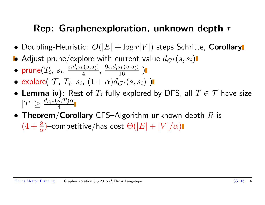## Rep: Graphenexploration, unknown depth  $r$

- Doubling-Heuristic:  $O(|E| + \log r|V|)$  steps Schritte, Corollary
- Adjust prune/explore with current value  $d_{G^*}(s,s_i)$
- $\bullet$  prune $(T_i,~s_i,~\frac{\alpha d_{G^*}(s,s_i)}{4})$  $\frac{q_{s}(s,s_{i})}{4}, \frac{9\alpha d_{G^{*}}(s,s_{i})}{16}$  )
- explore $(\mathcal{T}, T_i, s_i, (1+\alpha)d_{G^*}(s,s_i))$
- Lemma iv): Rest of  $T_i$  fully explored by DFS, all  $T \in \mathcal{T}$  have size  $|T| \geq \frac{d_{G^*}(s,T)\alpha}{4}$
- Theorem/Corollary CFS–Algorithm unknown depth  $R$  is  $(4+\frac{8}{\alpha})$ -competitive/has cost  $\Theta(|E|+|V|/\alpha)$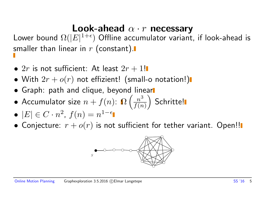### Look-ahead  $\alpha \cdot r$  necessary

Lower bound  $\Omega(|E|^{1+\epsilon})$  Offline accumulator variant, if look-ahead is smaller than linear in  $r$  (constant).

- $2r$  is not sufficient: At least  $2r + 1!$
- With  $2r + o(r)$  not effizient! (small-o notation!)
- **•** Graph: path and clique, beyond linear
- Accumulator size  $n + f(n)$ :  $\Omega$  $\left( \frac{n^3}{\cdot} \right)$  $f(n)$  $\setminus$ Schritte!
- $|E| \in C \cdot n^2$ ,  $f(n) = n^{1-\epsilon}$
- Conjecture:  $r + o(r)$  is not sufficient for tether variant. Open!!

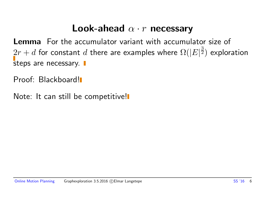#### Look-ahead  $\alpha \cdot r$  necessary

Lemma For the accumulator variant with accumulator size of  $2r+d$  for constant  $d$  there are examples where  $\Omega(|E|^{\frac{3}{2}})$  exploration steps are necessary.  $\blacksquare$ 

Proof: Blackboard!

Note: It can still be competitive!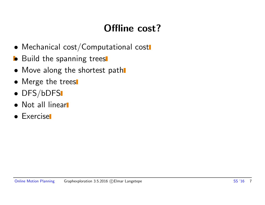# Offline cost?

- Mechanical cost/Computational cost
- **•** Build the spanning trees
- Move along the shortest path
- Merge the trees
- DFS/bDFS
- Not all linear
- Exercise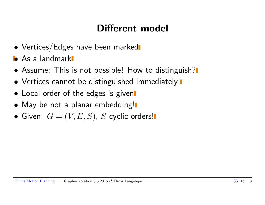# Different model

- Vertices/Edges have been marked
- **•** As a landmark
- Assume: This is not possible! How to distinguish?
- Vertices cannot be distinguished immediately!
- Local order of the edges is given
- May be not a planar embedding!
- Given:  $G = (V, E, S)$ , S cyclic orders!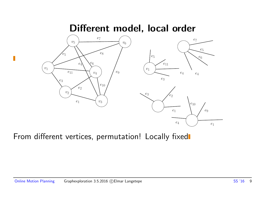#### Different model, local order



From different vertices, permutation! Locally fixed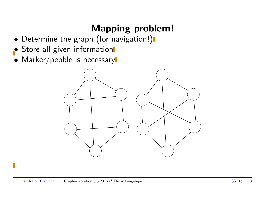# Mapping problem!

- Determine the graph (for navigation!)
- Store all given information
- Marker/pebble is necessary

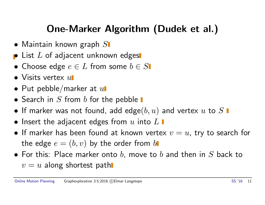# One-Marker Algorithm (Dudek et al.)

- $\bullet$  Maintain known graph  $S$
- $\bullet$  List  $L$  of adjacent unknown edges
- Choose edge  $e \in L$  from some  $b \in S$
- $\bullet$  Visits vertex  $u$
- Put pebble/marker at  $u$
- Search in  $S$  from  $b$  for the pebble  $\blacksquare$
- If marker was not found, add edge $(b, u)$  and vertex  $u$  to  $S$   $\blacksquare$
- $\bullet$  Insert the adjacent edges from  $u$  into  $L$   $\blacksquare$
- If marker has been found at known vertex  $v = u$ , try to search for the edge  $e = (b, v)$  by the order from  $b$
- For this: Place marker onto b, move to b and then in  $S$  back to  $v = u$  along shortest path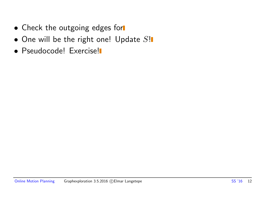- Check the outgoing edges for
- $\bullet$  One will be the right one! Update  $S!$
- **Pseudocode! Exercise!**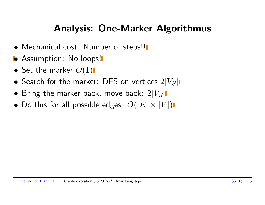## Analysis: One-Marker Algorithmus

- Mechanical cost: Number of steps!!
- Assumption: No loops!
- Set the marker  $O(1)$
- Search for the marker: DFS on vertices  $2|V_S|$
- Bring the marker back, move back:  $2|V_S|$
- Do this for all possible edges:  $O(|E| \times |V|)$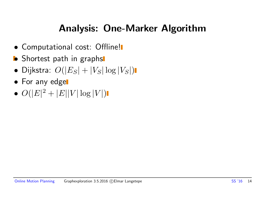## Analysis: One-Marker Algorithm

- Computational cost: Offline!
- **•** Shortest path in graphs
- $\bullet$  Dijkstra:  $O(|E_S| + |V_S| \log |V_S|)$  |
- For any edge
- $O(|E|^2 + |E||V|\log|V|)$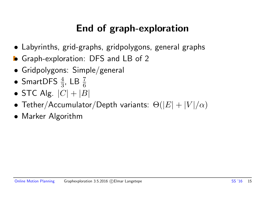# End of graph-exploration

- Labyrinths, grid-graphs, gridpolygons, general graphs
- Graph-exploration: DFS and LB of 2
- Gridpolygons: Simple/general
- SmartDFS  $\frac{4}{3}$ , LB  $\frac{7}{6}$
- STC Alg.  $|C| + |B|$
- Tether/Accumulator/Depth variants:  $\Theta(|E| + |V|/\alpha)$
- Marker Algorithm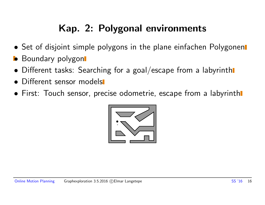# Kap. 2: Polygonal environments

- Set of disjoint simple polygons in the plane einfachen Polygonen
- **•** Boundary polygon
- Different tasks: Searching for a goal/escape from a labyrinth
- Different sensor models
- First: Touch sensor, precise odometrie, escape from a labyrinth

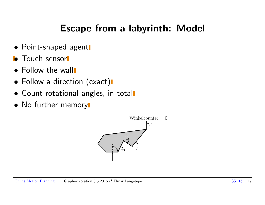## Escape from a labyrinth: Model

- Point-shaped agent
- **•** Touch sensor
- Follow the wall
- Follow a direction (exact)
- Count rotational angles, in total
- No further memory

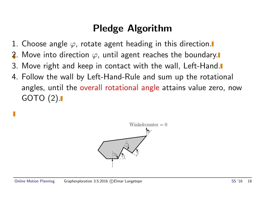# Pledge Algorithm

- 1. Choose angle  $\varphi$ , rotate agent heading in this direction.
- 2. Move into direction  $\varphi$ , until agent reaches the boundary.
- 3. Move right and keep in contact with the wall, Left-Hand.
- 4. Follow the wall by Left-Hand-Rule and sum up the rotational angles, until the overall rotational angle attains value zero, now GOTO (2).

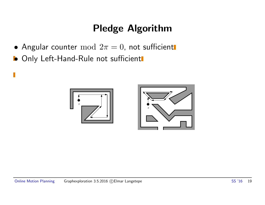# Pledge Algorithm

- Angular counter  $mod 2\pi = 0$ , not sufficient
- **Only Left-Hand-Rule not sufficient**

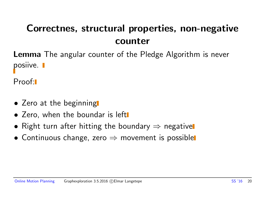# Correctnes, structural properties, non-negative counter

Lemma The angular counter of the Pledge Algorithm is never posiive. **I** 

Proof:

- Zero at the beginning
- Zero, when the boundar is left
- Right turn after hitting the boundary  $\Rightarrow$  negative
- Continuous change, zero  $\Rightarrow$  movement is possible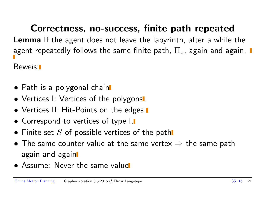Correctness, no-success, finite path repeated Lemma If the agent does not leave the labyrinth, after a while the agent repeatedly follows the same finite path,  $\Pi_{\circ}$ , again and again.  $\blacksquare$ 

Beweis:

- Path is a polygonal chain
- Vertices I: Vertices of the polygons
- Vertices II: Hit-Points on the edges  $\blacksquare$
- Correspond to vertices of type I.
- Finite set S of possible vertices of the path
- The same counter value at the same vertex  $\Rightarrow$  the same path again and again
- Assume: Never the same value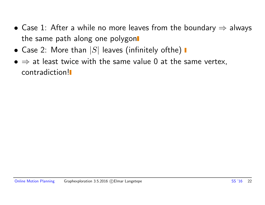- Case 1: After a while no more leaves from the boundary  $\Rightarrow$  always the same path along one polygon
- Case 2: More than  $|S|$  leaves (infinitely ofthe)  $\blacksquare$
- $\bullet \Rightarrow$  at least twice with the same value 0 at the same vertex, contradiction!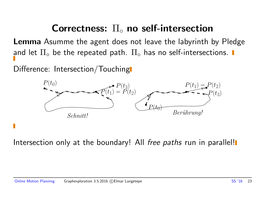#### Correctness:  $\Pi_{\circ}$  no self-intersection

Lemma Asumme the agent does not leave the labyrinth by Pledge and let  $\Pi_{\circ}$  be the repeated path.  $\Pi_{\circ}$  has no self-intersections.  $\blacksquare$ 

Difference: Intersection/Touching



Intersection only at the boundary! All free paths run in parallel!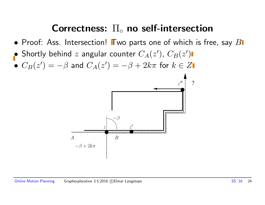#### Correctness:  $\Pi_{\circ}$  no self-intersection

- Proof: Ass. Intersection! Two parts one of which is free, say  $B$
- Shortly behind  $z$  angular counter  $C_A(z')$ ,  $C_B(z')$
- $\bullet$   $C_B(z') = -\beta$  and  $C_A(z') = -\beta + 2k\pi$  for  $k \in Z$

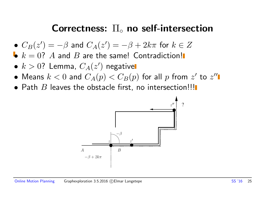#### Correctness:  $\Pi_{\circ}$  no self-intersection

- $C_B(z') = -\beta$  and  $C_A(z') = -\beta + 2k\pi$  for  $k \in Z$
- $k = 0$ ? A and B are the same! Contradiction!
- $\bullet$   $k > 0$ ? Lemma,  $C_A(z')$  negative
- $\bullet$  Means  $k < 0$  and  $C_A(p) < C_B(p)$  for all  $p$  from  $z'$  to  $z''$
- $\bullet$  Path  $B$  leaves the obstacle first, no intersection!!!

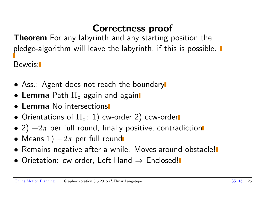# Correctness proof

**Theorem** For any labyrinth and any starting position the pledge-algorithm will leave the labyrinth, if this is possible.  $\blacksquare$ Beweis:

- Ass.: Agent does not reach the boundary
- Lemma Path  $\Pi_{\circ}$  again and again
- Lemma No intersections
- Orientations of  $\Pi_{\circ}$ : 1) cw-order 2) ccw-order
- 2)  $+2\pi$  per full round, finally positive, contradiction
- Means 1)  $-2\pi$  per full round
- Remains negative after a while. Moves around obstacle!
- Orietation: cw-order, Left-Hand  $\Rightarrow$  Enclosed!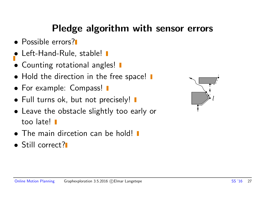# Pledge algorithm with sensor errors

- Possible errors?
- Left-Hand-Rule, stable! I
- Counting rotational angles!  $\blacksquare$
- Hold the direction in the free space!  $\blacksquare$
- For example: Compass! **I**
- Full turns ok, but not precisely!  $\blacksquare$
- Leave the obstacle slightly too early or too late!
- The main dircetion can be hold!
- Still correct?

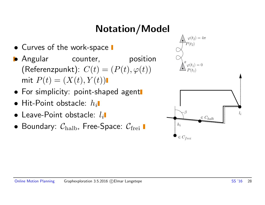# Notation/Model

- Curves of the work-space  $\blacksquare$
- Angular counter, position (Referenzpunkt):  $C(t) = (P(t), \varphi(t))$ mit  $P(t) = (X(t), Y(t))$
- For simplicity: point-shaped agent
- $\bullet$  Hit-Point obstacle:  $h_i$
- $\bullet$  Leave-Point obstacle:  $l_i$
- Boundary:  $C_{\text{halb}}$ , Free-Space:  $C_{\text{freq}}$

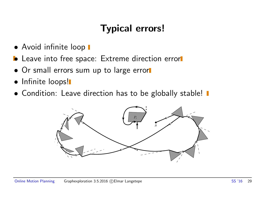# Typical errors!

- Avoid infinite loop  $\blacksquare$
- **•** Leave into free space: Extreme direction error
- Or small errors sum up to large error
- Infinite loops!
- Condition: Leave direction has to be globally stable!  $\blacksquare$